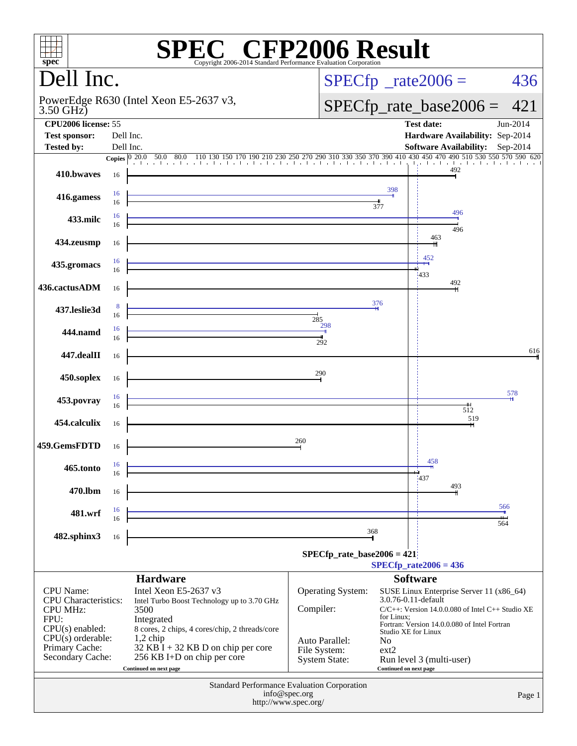| $spec^*$                                        |                                                    | Copyright 2006-2014 Standard Performance Evaluation Corporation                                                                              | $\mathbb{C}^{\scriptscriptstyle \otimes}$ CFP2006 Result |                        |                                                       |          |  |
|-------------------------------------------------|----------------------------------------------------|----------------------------------------------------------------------------------------------------------------------------------------------|----------------------------------------------------------|------------------------|-------------------------------------------------------|----------|--|
| Dell Inc.                                       |                                                    |                                                                                                                                              |                                                          |                        | $SPECfp^{\circ}$ _rate2006 =                          | 436      |  |
| $3.50$ GHz)                                     |                                                    | PowerEdge R630 (Intel Xeon E5-2637 v3,                                                                                                       |                                                          |                        | $SPECfp\_rate\_base2006 =$                            | 421      |  |
| <b>CPU2006</b> license: 55                      |                                                    |                                                                                                                                              |                                                          |                        | <b>Test date:</b>                                     | Jun-2014 |  |
| <b>Test sponsor:</b>                            | Dell Inc.                                          |                                                                                                                                              |                                                          |                        | Hardware Availability: Sep-2014                       |          |  |
| <b>Tested by:</b>                               | Dell Inc.                                          |                                                                                                                                              |                                                          |                        | Software Availability: Sep-2014                       |          |  |
|                                                 |                                                    | 20.0 50.0 80.0 110 130 150 170 190 210 230 250 270 290 310 330 350 370 390 410 430 450 470 490 510 530 550 570 590 620<br>Copies $ 0, 20.0 $ |                                                          |                        |                                                       |          |  |
| 410.bwayes                                      | 16                                                 |                                                                                                                                              |                                                          |                        | 492                                                   |          |  |
|                                                 | 16                                                 |                                                                                                                                              |                                                          | 398                    |                                                       |          |  |
| 416.gamess                                      | 16                                                 |                                                                                                                                              |                                                          | 377                    |                                                       |          |  |
| 433.milc                                        | 16                                                 |                                                                                                                                              |                                                          |                        | 496                                                   |          |  |
|                                                 | 16                                                 |                                                                                                                                              |                                                          |                        | 496                                                   |          |  |
| 434.zeusmp                                      | 16                                                 |                                                                                                                                              |                                                          |                        | 463                                                   |          |  |
|                                                 |                                                    |                                                                                                                                              |                                                          |                        | 452                                                   |          |  |
| 435.gromacs                                     | 16<br>16                                           |                                                                                                                                              |                                                          |                        |                                                       |          |  |
| 436.cactusADM                                   |                                                    |                                                                                                                                              |                                                          |                        | 433<br>492                                            |          |  |
|                                                 | 16                                                 |                                                                                                                                              |                                                          |                        |                                                       |          |  |
| 437.leslie3d                                    | -8                                                 |                                                                                                                                              |                                                          | 376                    |                                                       |          |  |
|                                                 | 16                                                 |                                                                                                                                              | 285<br>298                                               |                        |                                                       |          |  |
| 444.namd                                        | 16<br>16                                           |                                                                                                                                              |                                                          |                        |                                                       |          |  |
|                                                 |                                                    |                                                                                                                                              | 292                                                      |                        |                                                       | 616      |  |
| 447.dealII                                      | 16                                                 |                                                                                                                                              |                                                          |                        |                                                       |          |  |
| 450.soplex                                      |                                                    |                                                                                                                                              | 290                                                      |                        |                                                       |          |  |
|                                                 | 16                                                 |                                                                                                                                              |                                                          |                        |                                                       |          |  |
| 453.povray                                      | 16                                                 |                                                                                                                                              |                                                          |                        |                                                       | 578      |  |
|                                                 | 16                                                 |                                                                                                                                              |                                                          |                        | ŦН<br>512                                             |          |  |
| 454.calculix                                    | 16                                                 |                                                                                                                                              |                                                          |                        | 519                                                   |          |  |
|                                                 |                                                    |                                                                                                                                              | 260                                                      |                        |                                                       |          |  |
| 459.GemsFDTD                                    | 16                                                 |                                                                                                                                              |                                                          |                        |                                                       |          |  |
| 465.tonto                                       | 16                                                 |                                                                                                                                              |                                                          |                        | 458                                                   |          |  |
|                                                 | 16                                                 |                                                                                                                                              |                                                          |                        | 437                                                   |          |  |
| 470.lbm                                         | 16                                                 |                                                                                                                                              |                                                          |                        | 493                                                   |          |  |
|                                                 |                                                    |                                                                                                                                              |                                                          |                        |                                                       | 566      |  |
| 481.wrf                                         | 16<br>16                                           |                                                                                                                                              |                                                          |                        |                                                       |          |  |
|                                                 |                                                    |                                                                                                                                              | 368                                                      |                        |                                                       | 564      |  |
| 482.sphinx3                                     | 16                                                 |                                                                                                                                              |                                                          |                        |                                                       |          |  |
|                                                 |                                                    |                                                                                                                                              | $SPECfp\_rate\_base2006 = 421$                           |                        |                                                       |          |  |
|                                                 |                                                    |                                                                                                                                              |                                                          |                        | $SPECfp_{rate}2006 = 436$                             |          |  |
|                                                 |                                                    | <b>Hardware</b>                                                                                                                              |                                                          |                        | <b>Software</b>                                       |          |  |
| <b>CPU</b> Name:<br><b>CPU</b> Characteristics: |                                                    | Intel Xeon E5-2637 v3<br>Intel Turbo Boost Technology up to 3.70 GHz                                                                         | Operating System:                                        | 3.0.76-0.11-default    | SUSE Linux Enterprise Server 11 (x86_64)              |          |  |
| <b>CPU MHz:</b>                                 |                                                    | 3500                                                                                                                                         | Compiler:                                                |                        | $C/C++$ : Version 14.0.0.080 of Intel $C++$ Studio XE |          |  |
| FPU:                                            |                                                    | Integrated                                                                                                                                   |                                                          | for Linux;             | Fortran: Version 14.0.0.080 of Intel Fortran          |          |  |
| $CPU(s)$ enabled:<br>$CPU(s)$ orderable:        |                                                    | 8 cores, 2 chips, 4 cores/chip, 2 threads/core<br>$1,2$ chip                                                                                 |                                                          | Studio XE for Linux    |                                                       |          |  |
| Primary Cache:                                  |                                                    | $32$ KB I + 32 KB D on chip per core                                                                                                         | Auto Parallel:<br>File System:                           | N <sub>o</sub><br>ext2 |                                                       |          |  |
| Secondary Cache:                                |                                                    | 256 KB I+D on chip per core                                                                                                                  | System State:                                            |                        | Run level 3 (multi-user)                              |          |  |
|                                                 |                                                    | Continued on next page                                                                                                                       |                                                          | Continued on next page |                                                       |          |  |
|                                                 | <b>Standard Performance Evaluation Corporation</b> |                                                                                                                                              |                                                          |                        |                                                       |          |  |
|                                                 |                                                    |                                                                                                                                              | info@spec.org<br>http://www.spec.org/                    |                        |                                                       | Page 1   |  |
|                                                 |                                                    |                                                                                                                                              |                                                          |                        |                                                       |          |  |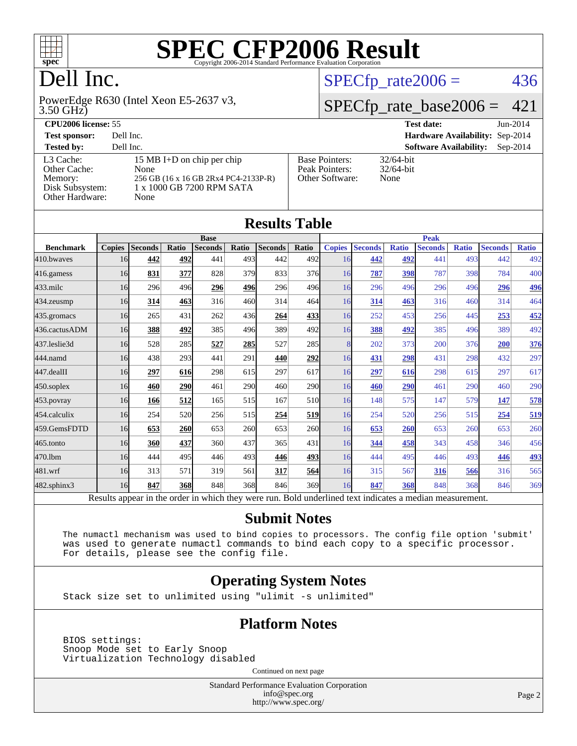

# Dell Inc.

3.50 GHz) PowerEdge R630 (Intel Xeon E5-2637 v3,

 $SPECTp_rate2006 = 436$ 

### [SPECfp\\_rate\\_base2006 =](http://www.spec.org/auto/cpu2006/Docs/result-fields.html#SPECfpratebase2006) 421

| <b>CPU2006 license: 55</b>                                                 |                                                                                                                 | <b>Test date:</b><br>$Jun-2014$                            |                                             |
|----------------------------------------------------------------------------|-----------------------------------------------------------------------------------------------------------------|------------------------------------------------------------|---------------------------------------------|
| <b>Test sponsor:</b>                                                       | Dell Inc.                                                                                                       |                                                            | Hardware Availability: Sep-2014             |
| <b>Tested by:</b>                                                          | Dell Inc.                                                                                                       |                                                            | <b>Software Availability:</b><br>$Sep-2014$ |
| L3 Cache:<br>Other Cache:<br>Memory:<br>Disk Subsystem:<br>Other Hardware: | 15 MB I+D on chip per chip<br>None<br>256 GB (16 x 16 GB 2Rx4 PC4-2133P-R)<br>1 x 1000 GB 7200 RPM SATA<br>None | <b>Base Pointers:</b><br>Peak Pointers:<br>Other Software: | $32/64$ -bit<br>$32/64$ -bit<br>None        |

**[Results Table](http://www.spec.org/auto/cpu2006/Docs/result-fields.html#ResultsTable)**

| Results Table                                                                                                                                                                  |               |                |       |                |       |                |            |               |                |              |                |              |                |              |
|--------------------------------------------------------------------------------------------------------------------------------------------------------------------------------|---------------|----------------|-------|----------------|-------|----------------|------------|---------------|----------------|--------------|----------------|--------------|----------------|--------------|
|                                                                                                                                                                                |               | <b>Base</b>    |       |                |       |                |            | <b>Peak</b>   |                |              |                |              |                |              |
| <b>Benchmark</b>                                                                                                                                                               | <b>Copies</b> | <b>Seconds</b> | Ratio | <b>Seconds</b> | Ratio | <b>Seconds</b> | Ratio      | <b>Copies</b> | <b>Seconds</b> | <b>Ratio</b> | <b>Seconds</b> | <b>Ratio</b> | <b>Seconds</b> | <b>Ratio</b> |
| 410.bwayes                                                                                                                                                                     | 16            | 442            | 492   | 441            | 493   | 442            | 492        | 16            | 442            | 492          | 441            | 493          | 442            | 492          |
| 416.gamess                                                                                                                                                                     | 16            | 831            | 377   | 828            | 379   | 833            | 376        | 16            | 787            | 398          | 787            | 398          | 784            | 400          |
| 433.milc                                                                                                                                                                       | 16            | 296            | 496   | 296            | 496   | 296            | 496        | 16            | 296            | 496          | 296            | 496          | 296            | 496          |
| 434.zeusmp                                                                                                                                                                     | 16            | 314            | 463   | 316            | 460   | 314            | 464        | 16            | 314            | 463          | 316            | 460          | 314            | 464          |
| 435.gromacs                                                                                                                                                                    | 16            | 265            | 431   | 262            | 436   | 264            | 433        | 16            | 252            | 453          | 256            | 445          | 253            | <u>452</u>   |
| 436.cactusADM                                                                                                                                                                  | 16            | 388            | 492   | 385            | 496   | 389            | 492        | 16            | 388            | 492          | 385            | 496          | 389            | 492          |
| 437.leslie3d                                                                                                                                                                   | 16            | 528            | 285   | 527            | 285   | 527            | 285        | 8             | 202            | 373          | 200            | 376          | 200            | 376          |
| 444.namd                                                                                                                                                                       | 16            | 438            | 293   | 441            | 291   | 440            | 292        | 16            | 431            | 298          | 431            | 298          | 432            | 297          |
| 447.dealII                                                                                                                                                                     | 16            | 297            | 616   | 298            | 615   | 297            | 617        | 16            | 297            | 616          | 298            | 615          | 297            | 617          |
| 450.soplex                                                                                                                                                                     | 16            | 460            | 290   | 461            | 290   | 460            | <b>290</b> | 16            | 460            | 290          | 461            | 290          | 460            | 290          |
| 453.povray                                                                                                                                                                     | 16            | 166            | 512   | 165            | 515   | 167            | 510        | 16            | 148            | 575          | 147            | 579          | 147            | 578          |
| 454.calculix                                                                                                                                                                   | 16            | 254            | 520   | 256            | 515   | 254            | 519        | 16            | 254            | 520          | 256            | 515          | 254            | <u>519</u>   |
| 459.GemsFDTD                                                                                                                                                                   | 16            | 653            | 260   | 653            | 260   | 653            | <b>260</b> | 16            | 653            | 260          | 653            | 260          | 653            | 260          |
| 465.tonto                                                                                                                                                                      | 16            | 360            | 437   | 360            | 437   | 365            | 431        | 16            | 344            | 458          | 343            | 458          | 346            | 456          |
| 470.1bm                                                                                                                                                                        | 16            | 444            | 495   | 446            | 493   | 446            | 493        | 16            | 444            | 495          | 446            | 493          | 446            | <u>493</u>   |
| 481.wrf                                                                                                                                                                        | 16            | 313            | 571   | 319            | 561   | 317            | 564        | 16            | 315            | 567          | 316            | 566          | 316            | 565          |
| 482.sphinx3                                                                                                                                                                    | 16            | 847            | 368   | 848            | 368   | 846            | 369        | 16            | 847            | 368          | 848            | 368          | 846            | 369          |
| $D = 14$<br>المستحدث ومحاملها والمكاملة والمتحدث ومحالمته والمحالة المدار<br>$\pi$ and $\pi$ and $\pi$<br>$D = 1.1$ and $A = 1.1$ and $A = 1.1$<br>- 41 -<br>----------<br>--- |               |                |       |                |       |                |            |               |                |              |                |              |                |              |

Results appear in the [order in which they were run.](http://www.spec.org/auto/cpu2006/Docs/result-fields.html#RunOrder) Bold underlined text [indicates a median measurement.](http://www.spec.org/auto/cpu2006/Docs/result-fields.html#Median)

#### **[Submit Notes](http://www.spec.org/auto/cpu2006/Docs/result-fields.html#SubmitNotes)**

 The numactl mechanism was used to bind copies to processors. The config file option 'submit' was used to generate numactl commands to bind each copy to a specific processor. For details, please see the config file.

#### **[Operating System Notes](http://www.spec.org/auto/cpu2006/Docs/result-fields.html#OperatingSystemNotes)**

Stack size set to unlimited using "ulimit -s unlimited"

#### **[Platform Notes](http://www.spec.org/auto/cpu2006/Docs/result-fields.html#PlatformNotes)**

 BIOS settings: Snoop Mode set to Early Snoop Virtualization Technology disabled

Continued on next page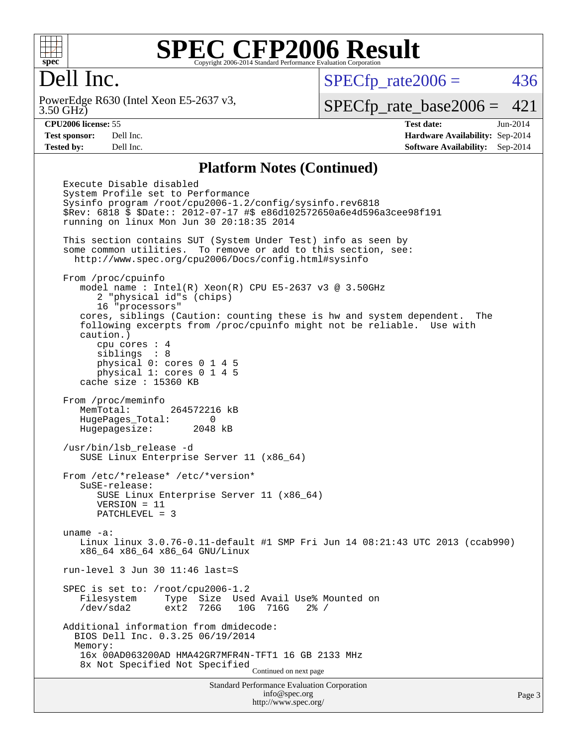

## Dell Inc.

3.50 GHz) PowerEdge R630 (Intel Xeon E5-2637 v3,  $SPECTp\_rate2006 = 436$ 

[SPECfp\\_rate\\_base2006 =](http://www.spec.org/auto/cpu2006/Docs/result-fields.html#SPECfpratebase2006) 421

**[CPU2006 license:](http://www.spec.org/auto/cpu2006/Docs/result-fields.html#CPU2006license)** 55 **[Test date:](http://www.spec.org/auto/cpu2006/Docs/result-fields.html#Testdate)** Jun-2014 **[Test sponsor:](http://www.spec.org/auto/cpu2006/Docs/result-fields.html#Testsponsor)** Dell Inc. **[Hardware Availability:](http://www.spec.org/auto/cpu2006/Docs/result-fields.html#HardwareAvailability)** Sep-2014 **[Tested by:](http://www.spec.org/auto/cpu2006/Docs/result-fields.html#Testedby)** Dell Inc. **[Software Availability:](http://www.spec.org/auto/cpu2006/Docs/result-fields.html#SoftwareAvailability)** Sep-2014

#### **[Platform Notes \(Continued\)](http://www.spec.org/auto/cpu2006/Docs/result-fields.html#PlatformNotes)**

Standard Performance Evaluation Corporation [info@spec.org](mailto:info@spec.org) Execute Disable disabled System Profile set to Performance Sysinfo program /root/cpu2006-1.2/config/sysinfo.rev6818 \$Rev: 6818 \$ \$Date:: 2012-07-17 #\$ e86d102572650a6e4d596a3cee98f191 running on linux Mon Jun 30 20:18:35 2014 This section contains SUT (System Under Test) info as seen by some common utilities. To remove or add to this section, see: <http://www.spec.org/cpu2006/Docs/config.html#sysinfo> From /proc/cpuinfo model name : Intel(R) Xeon(R) CPU E5-2637 v3 @ 3.50GHz 2 "physical id"s (chips) 16 "processors" cores, siblings (Caution: counting these is hw and system dependent. The following excerpts from /proc/cpuinfo might not be reliable. Use with caution.) cpu cores : 4 siblings : 8 physical 0: cores 0 1 4 5 physical 1: cores 0 1 4 5 cache size : 15360 KB From /proc/meminfo MemTotal: 264572216 kB HugePages\_Total: 0 Hugepagesize: 2048 kB /usr/bin/lsb\_release -d SUSE Linux Enterprise Server 11 (x86\_64) From /etc/\*release\* /etc/\*version\* SuSE-release: SUSE Linux Enterprise Server 11 (x86\_64) VERSION = 11 PATCHLEVEL = 3 uname -a: Linux linux 3.0.76-0.11-default #1 SMP Fri Jun 14 08:21:43 UTC 2013 (ccab990) x86\_64 x86\_64 x86\_64 GNU/Linux run-level 3 Jun 30 11:46 last=S SPEC is set to: /root/cpu2006-1.2 Filesystem Type Size Used Avail Use% Mounted on /dev/sda2 ext2 726G 10G 716G 2% / Additional information from dmidecode: BIOS Dell Inc. 0.3.25 06/19/2014 Memory: 16x 00AD063200AD HMA42GR7MFR4N-TFT1 16 GB 2133 MHz 8x Not Specified Not Specified Continued on next page

<http://www.spec.org/>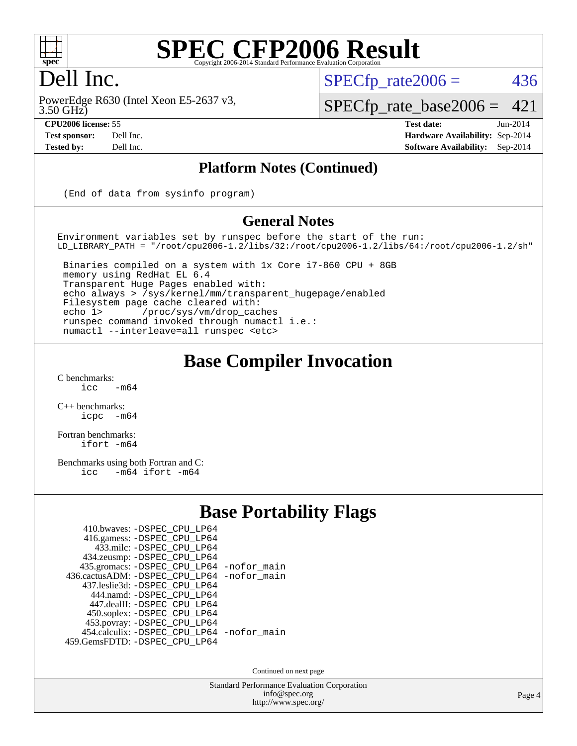

## Dell Inc.

3.50 GHz) PowerEdge R630 (Intel Xeon E5-2637 v3,

 $SPECTp\_rate2006 = 436$ 

[SPECfp\\_rate\\_base2006 =](http://www.spec.org/auto/cpu2006/Docs/result-fields.html#SPECfpratebase2006) 421

**[CPU2006 license:](http://www.spec.org/auto/cpu2006/Docs/result-fields.html#CPU2006license)** 55 **[Test date:](http://www.spec.org/auto/cpu2006/Docs/result-fields.html#Testdate)** Jun-2014 **[Test sponsor:](http://www.spec.org/auto/cpu2006/Docs/result-fields.html#Testsponsor)** Dell Inc. **[Hardware Availability:](http://www.spec.org/auto/cpu2006/Docs/result-fields.html#HardwareAvailability)** Sep-2014 **[Tested by:](http://www.spec.org/auto/cpu2006/Docs/result-fields.html#Testedby)** Dell Inc. **[Software Availability:](http://www.spec.org/auto/cpu2006/Docs/result-fields.html#SoftwareAvailability)** Sep-2014

#### **[Platform Notes \(Continued\)](http://www.spec.org/auto/cpu2006/Docs/result-fields.html#PlatformNotes)**

(End of data from sysinfo program)

#### **[General Notes](http://www.spec.org/auto/cpu2006/Docs/result-fields.html#GeneralNotes)**

Environment variables set by runspec before the start of the run: LD\_LIBRARY\_PATH = "/root/cpu2006-1.2/libs/32:/root/cpu2006-1.2/libs/64:/root/cpu2006-1.2/sh"

 Binaries compiled on a system with 1x Core i7-860 CPU + 8GB memory using RedHat EL 6.4 Transparent Huge Pages enabled with: echo always > /sys/kernel/mm/transparent\_hugepage/enabled Filesystem page cache cleared with: echo 1> /proc/sys/vm/drop\_caches runspec command invoked through numactl i.e.: numactl --interleave=all runspec <etc>

#### **[Base Compiler Invocation](http://www.spec.org/auto/cpu2006/Docs/result-fields.html#BaseCompilerInvocation)**

 $C$  benchmarks:<br>icc  $-m64$ 

[C++ benchmarks:](http://www.spec.org/auto/cpu2006/Docs/result-fields.html#CXXbenchmarks) [icpc -m64](http://www.spec.org/cpu2006/results/res2014q3/cpu2006-20140909-31297.flags.html#user_CXXbase_intel_icpc_64bit_bedb90c1146cab66620883ef4f41a67e)

[Fortran benchmarks](http://www.spec.org/auto/cpu2006/Docs/result-fields.html#Fortranbenchmarks): [ifort -m64](http://www.spec.org/cpu2006/results/res2014q3/cpu2006-20140909-31297.flags.html#user_FCbase_intel_ifort_64bit_ee9d0fb25645d0210d97eb0527dcc06e)

[Benchmarks using both Fortran and C](http://www.spec.org/auto/cpu2006/Docs/result-fields.html#BenchmarksusingbothFortranandC): [icc -m64](http://www.spec.org/cpu2006/results/res2014q3/cpu2006-20140909-31297.flags.html#user_CC_FCbase_intel_icc_64bit_0b7121f5ab7cfabee23d88897260401c) [ifort -m64](http://www.spec.org/cpu2006/results/res2014q3/cpu2006-20140909-31297.flags.html#user_CC_FCbase_intel_ifort_64bit_ee9d0fb25645d0210d97eb0527dcc06e)

#### **[Base Portability Flags](http://www.spec.org/auto/cpu2006/Docs/result-fields.html#BasePortabilityFlags)**

| 410.bwaves: - DSPEC_CPU_LP64               |  |
|--------------------------------------------|--|
| 416.gamess: - DSPEC_CPU_LP64               |  |
| 433.milc: -DSPEC CPU LP64                  |  |
| 434.zeusmp: -DSPEC_CPU_LP64                |  |
| 435.gromacs: -DSPEC_CPU_LP64 -nofor_main   |  |
| 436.cactusADM: -DSPEC CPU LP64 -nofor main |  |
| 437.leslie3d: -DSPEC CPU LP64              |  |
| 444.namd: - DSPEC CPU LP64                 |  |
| 447.dealII: -DSPEC_CPU LP64                |  |
| 450.soplex: -DSPEC_CPU_LP64                |  |
| 453.povray: -DSPEC_CPU_LP64                |  |
| 454.calculix: - DSPEC_CPU_LP64 -nofor_main |  |
| 459.GemsFDTD: - DSPEC_CPU_LP64             |  |
|                                            |  |

Continued on next page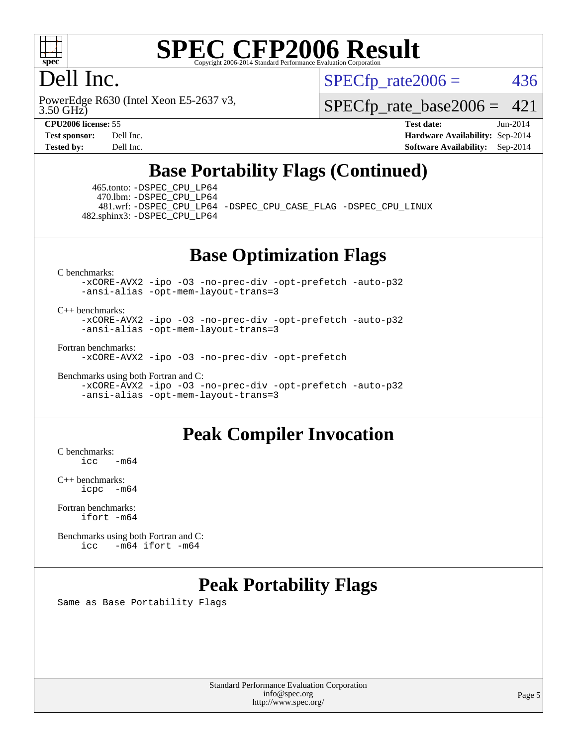

## Dell Inc.

 $SPECTp\_rate2006 = 436$ 

3.50 GHz) PowerEdge R630 (Intel Xeon E5-2637 v3,

[SPECfp\\_rate\\_base2006 =](http://www.spec.org/auto/cpu2006/Docs/result-fields.html#SPECfpratebase2006) 421

**[CPU2006 license:](http://www.spec.org/auto/cpu2006/Docs/result-fields.html#CPU2006license)** 55 **[Test date:](http://www.spec.org/auto/cpu2006/Docs/result-fields.html#Testdate)** Jun-2014 **[Test sponsor:](http://www.spec.org/auto/cpu2006/Docs/result-fields.html#Testsponsor)** Dell Inc. **[Hardware Availability:](http://www.spec.org/auto/cpu2006/Docs/result-fields.html#HardwareAvailability)** Sep-2014 **[Tested by:](http://www.spec.org/auto/cpu2006/Docs/result-fields.html#Testedby)** Dell Inc. **[Software Availability:](http://www.spec.org/auto/cpu2006/Docs/result-fields.html#SoftwareAvailability)** Sep-2014

## **[Base Portability Flags \(Continued\)](http://www.spec.org/auto/cpu2006/Docs/result-fields.html#BasePortabilityFlags)**

 465.tonto: [-DSPEC\\_CPU\\_LP64](http://www.spec.org/cpu2006/results/res2014q3/cpu2006-20140909-31297.flags.html#suite_basePORTABILITY465_tonto_DSPEC_CPU_LP64) 470.lbm: [-DSPEC\\_CPU\\_LP64](http://www.spec.org/cpu2006/results/res2014q3/cpu2006-20140909-31297.flags.html#suite_basePORTABILITY470_lbm_DSPEC_CPU_LP64)

 481.wrf: [-DSPEC\\_CPU\\_LP64](http://www.spec.org/cpu2006/results/res2014q3/cpu2006-20140909-31297.flags.html#suite_basePORTABILITY481_wrf_DSPEC_CPU_LP64) [-DSPEC\\_CPU\\_CASE\\_FLAG](http://www.spec.org/cpu2006/results/res2014q3/cpu2006-20140909-31297.flags.html#b481.wrf_baseCPORTABILITY_DSPEC_CPU_CASE_FLAG) [-DSPEC\\_CPU\\_LINUX](http://www.spec.org/cpu2006/results/res2014q3/cpu2006-20140909-31297.flags.html#b481.wrf_baseCPORTABILITY_DSPEC_CPU_LINUX) 482.sphinx3: [-DSPEC\\_CPU\\_LP64](http://www.spec.org/cpu2006/results/res2014q3/cpu2006-20140909-31297.flags.html#suite_basePORTABILITY482_sphinx3_DSPEC_CPU_LP64)

#### **[Base Optimization Flags](http://www.spec.org/auto/cpu2006/Docs/result-fields.html#BaseOptimizationFlags)**

[C benchmarks](http://www.spec.org/auto/cpu2006/Docs/result-fields.html#Cbenchmarks):

[-xCORE-AVX2](http://www.spec.org/cpu2006/results/res2014q3/cpu2006-20140909-31297.flags.html#user_CCbase_f-xAVX2_5f5fc0cbe2c9f62c816d3e45806c70d7) [-ipo](http://www.spec.org/cpu2006/results/res2014q3/cpu2006-20140909-31297.flags.html#user_CCbase_f-ipo) [-O3](http://www.spec.org/cpu2006/results/res2014q3/cpu2006-20140909-31297.flags.html#user_CCbase_f-O3) [-no-prec-div](http://www.spec.org/cpu2006/results/res2014q3/cpu2006-20140909-31297.flags.html#user_CCbase_f-no-prec-div) [-opt-prefetch](http://www.spec.org/cpu2006/results/res2014q3/cpu2006-20140909-31297.flags.html#user_CCbase_f-opt-prefetch) [-auto-p32](http://www.spec.org/cpu2006/results/res2014q3/cpu2006-20140909-31297.flags.html#user_CCbase_f-auto-p32) [-ansi-alias](http://www.spec.org/cpu2006/results/res2014q3/cpu2006-20140909-31297.flags.html#user_CCbase_f-ansi-alias) [-opt-mem-layout-trans=3](http://www.spec.org/cpu2006/results/res2014q3/cpu2006-20140909-31297.flags.html#user_CCbase_f-opt-mem-layout-trans_a7b82ad4bd7abf52556d4961a2ae94d5)

#### [C++ benchmarks:](http://www.spec.org/auto/cpu2006/Docs/result-fields.html#CXXbenchmarks)

[-xCORE-AVX2](http://www.spec.org/cpu2006/results/res2014q3/cpu2006-20140909-31297.flags.html#user_CXXbase_f-xAVX2_5f5fc0cbe2c9f62c816d3e45806c70d7) [-ipo](http://www.spec.org/cpu2006/results/res2014q3/cpu2006-20140909-31297.flags.html#user_CXXbase_f-ipo) [-O3](http://www.spec.org/cpu2006/results/res2014q3/cpu2006-20140909-31297.flags.html#user_CXXbase_f-O3) [-no-prec-div](http://www.spec.org/cpu2006/results/res2014q3/cpu2006-20140909-31297.flags.html#user_CXXbase_f-no-prec-div) [-opt-prefetch](http://www.spec.org/cpu2006/results/res2014q3/cpu2006-20140909-31297.flags.html#user_CXXbase_f-opt-prefetch) [-auto-p32](http://www.spec.org/cpu2006/results/res2014q3/cpu2006-20140909-31297.flags.html#user_CXXbase_f-auto-p32) [-ansi-alias](http://www.spec.org/cpu2006/results/res2014q3/cpu2006-20140909-31297.flags.html#user_CXXbase_f-ansi-alias) [-opt-mem-layout-trans=3](http://www.spec.org/cpu2006/results/res2014q3/cpu2006-20140909-31297.flags.html#user_CXXbase_f-opt-mem-layout-trans_a7b82ad4bd7abf52556d4961a2ae94d5)

[Fortran benchmarks](http://www.spec.org/auto/cpu2006/Docs/result-fields.html#Fortranbenchmarks):

[-xCORE-AVX2](http://www.spec.org/cpu2006/results/res2014q3/cpu2006-20140909-31297.flags.html#user_FCbase_f-xAVX2_5f5fc0cbe2c9f62c816d3e45806c70d7) [-ipo](http://www.spec.org/cpu2006/results/res2014q3/cpu2006-20140909-31297.flags.html#user_FCbase_f-ipo) [-O3](http://www.spec.org/cpu2006/results/res2014q3/cpu2006-20140909-31297.flags.html#user_FCbase_f-O3) [-no-prec-div](http://www.spec.org/cpu2006/results/res2014q3/cpu2006-20140909-31297.flags.html#user_FCbase_f-no-prec-div) [-opt-prefetch](http://www.spec.org/cpu2006/results/res2014q3/cpu2006-20140909-31297.flags.html#user_FCbase_f-opt-prefetch)

[Benchmarks using both Fortran and C](http://www.spec.org/auto/cpu2006/Docs/result-fields.html#BenchmarksusingbothFortranandC):

[-xCORE-AVX2](http://www.spec.org/cpu2006/results/res2014q3/cpu2006-20140909-31297.flags.html#user_CC_FCbase_f-xAVX2_5f5fc0cbe2c9f62c816d3e45806c70d7) [-ipo](http://www.spec.org/cpu2006/results/res2014q3/cpu2006-20140909-31297.flags.html#user_CC_FCbase_f-ipo) [-O3](http://www.spec.org/cpu2006/results/res2014q3/cpu2006-20140909-31297.flags.html#user_CC_FCbase_f-O3) [-no-prec-div](http://www.spec.org/cpu2006/results/res2014q3/cpu2006-20140909-31297.flags.html#user_CC_FCbase_f-no-prec-div) [-opt-prefetch](http://www.spec.org/cpu2006/results/res2014q3/cpu2006-20140909-31297.flags.html#user_CC_FCbase_f-opt-prefetch) [-auto-p32](http://www.spec.org/cpu2006/results/res2014q3/cpu2006-20140909-31297.flags.html#user_CC_FCbase_f-auto-p32) [-ansi-alias](http://www.spec.org/cpu2006/results/res2014q3/cpu2006-20140909-31297.flags.html#user_CC_FCbase_f-ansi-alias) [-opt-mem-layout-trans=3](http://www.spec.org/cpu2006/results/res2014q3/cpu2006-20140909-31297.flags.html#user_CC_FCbase_f-opt-mem-layout-trans_a7b82ad4bd7abf52556d4961a2ae94d5)

#### **[Peak Compiler Invocation](http://www.spec.org/auto/cpu2006/Docs/result-fields.html#PeakCompilerInvocation)**

[C benchmarks](http://www.spec.org/auto/cpu2006/Docs/result-fields.html#Cbenchmarks):  $icc$   $-m64$ 

[C++ benchmarks:](http://www.spec.org/auto/cpu2006/Docs/result-fields.html#CXXbenchmarks) [icpc -m64](http://www.spec.org/cpu2006/results/res2014q3/cpu2006-20140909-31297.flags.html#user_CXXpeak_intel_icpc_64bit_bedb90c1146cab66620883ef4f41a67e)

[Fortran benchmarks](http://www.spec.org/auto/cpu2006/Docs/result-fields.html#Fortranbenchmarks): [ifort -m64](http://www.spec.org/cpu2006/results/res2014q3/cpu2006-20140909-31297.flags.html#user_FCpeak_intel_ifort_64bit_ee9d0fb25645d0210d97eb0527dcc06e)

[Benchmarks using both Fortran and C](http://www.spec.org/auto/cpu2006/Docs/result-fields.html#BenchmarksusingbothFortranandC): [icc -m64](http://www.spec.org/cpu2006/results/res2014q3/cpu2006-20140909-31297.flags.html#user_CC_FCpeak_intel_icc_64bit_0b7121f5ab7cfabee23d88897260401c) [ifort -m64](http://www.spec.org/cpu2006/results/res2014q3/cpu2006-20140909-31297.flags.html#user_CC_FCpeak_intel_ifort_64bit_ee9d0fb25645d0210d97eb0527dcc06e)

### **[Peak Portability Flags](http://www.spec.org/auto/cpu2006/Docs/result-fields.html#PeakPortabilityFlags)**

Same as Base Portability Flags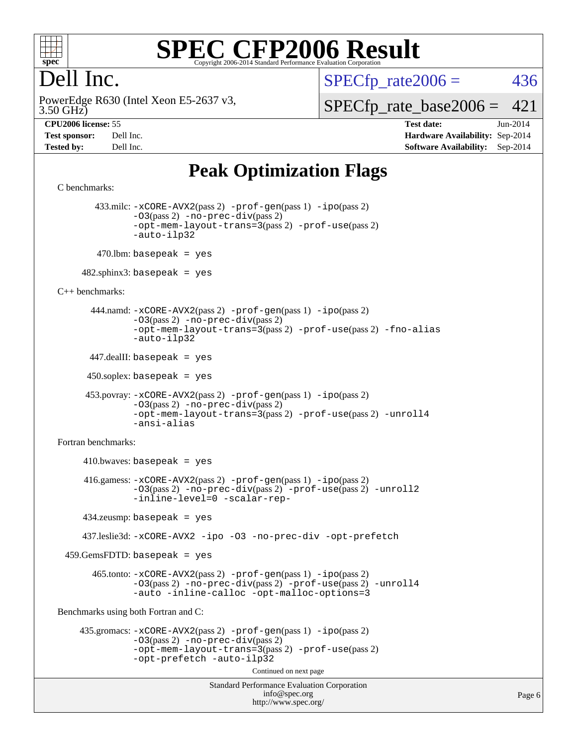

## Dell Inc.

 $SPECTp\_rate2006 = 436$ 

3.50 GHz) PowerEdge R630 (Intel Xeon E5-2637 v3, [SPECfp\\_rate\\_base2006 =](http://www.spec.org/auto/cpu2006/Docs/result-fields.html#SPECfpratebase2006) 421

**[CPU2006 license:](http://www.spec.org/auto/cpu2006/Docs/result-fields.html#CPU2006license)** 55 **[Test date:](http://www.spec.org/auto/cpu2006/Docs/result-fields.html#Testdate)** Jun-2014 **[Test sponsor:](http://www.spec.org/auto/cpu2006/Docs/result-fields.html#Testsponsor)** Dell Inc. **[Hardware Availability:](http://www.spec.org/auto/cpu2006/Docs/result-fields.html#HardwareAvailability)** Sep-2014 **[Tested by:](http://www.spec.org/auto/cpu2006/Docs/result-fields.html#Testedby)** Dell Inc. **[Software Availability:](http://www.spec.org/auto/cpu2006/Docs/result-fields.html#SoftwareAvailability)** Sep-2014

## **[Peak Optimization Flags](http://www.spec.org/auto/cpu2006/Docs/result-fields.html#PeakOptimizationFlags)**

```
Standard Performance Evaluation Corporation
                                           info@spec.org
                                         http://www.spec.org/
C benchmarks: 
         433.milc: -xCORE-AVX2(pass 2) -prof-gen(pass 1) -ipo(pass 2)
                -03(pass 2) -no-prec-div(pass 2)-opt-mem-layout-trans=3(pass 2) -prof-use(pass 2)
                -auto-ilp32
        470.lbm: basepeak = yes
     482.sphinx3: basepeak = yes
C++ benchmarks: 
        444.namd: -xCORE-AVX2(pass 2) -prof-gen(pass 1) -ipo(pass 2)
                -O3(pass 2) -no-prec-div(pass 2)
                -opt-mem-layout-trans=3(pass 2) -prof-use(pass 2) -fno-alias
                -auto-ilp32
       447.dealII: basepeak = yes
      450.soplex: basepeak = yes
       453.povray: -xCORE-AVX2(pass 2) -prof-gen(pass 1) -ipo(pass 2)
                -O3(pass 2) -no-prec-div(pass 2)
                -opt-mem-layout-trans=3(pass 2) -prof-use(pass 2) -unroll4
                -ansi-alias
Fortran benchmarks: 
     410.bwaves: basepeak = yes 416.gamess: -xCORE-AVX2(pass 2) -prof-gen(pass 1) -ipo(pass 2)
                -O3(pass 2) -no-prec-div(pass 2) -prof-use(pass 2) -unroll2
                -inline-level=0 -scalar-rep-
      434.zeusmp: basepeak = yes
      437.leslie3d: -xCORE-AVX2 -ipo -O3 -no-prec-div -opt-prefetch
  459.GemsFDTD: basepeak = yes
        465.tonto: -xCORE-AVX2(pass 2) -prof-gen(pass 1) -ipo(pass 2)
                -O3(pass 2) -no-prec-div(pass 2) -prof-use(pass 2) -unroll4
                -auto -inline-calloc -opt-malloc-options=3
Benchmarks using both Fortran and C: 
     435.gromacs: -xCORE-AVX2(pass 2) -prof-gen(pass 1) -ipo(pass 2)
                -O3(pass 2) -no-prec-div(pass 2)
                -opt-mem-layout-trans=3(pass 2) -prof-use(pass 2)
                -opt-prefetch -auto-ilp32
                                         Continued on next page
```